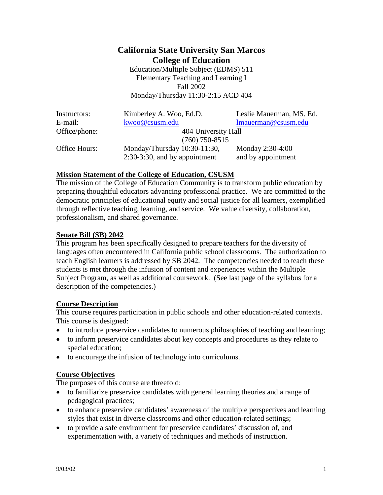# **California State University San Marcos College of Education**

Education/Multiple Subject (EDMS) 511 Elementary Teaching and Learning I Fall 2002 Monday/Thursday 11:30-2:15 ACD 404

| Instructors:  | Kimberley A. Woo, Ed.D.          | Leslie Mauerman, MS. Ed. |  |
|---------------|----------------------------------|--------------------------|--|
| E-mail:       | kwoo@csusm.edu                   | lmauerman@csusm.edu      |  |
| Office/phone: | 404 University Hall              |                          |  |
|               | $(760)$ 750-8515                 |                          |  |
| Office Hours: | Monday/Thursday $10:30-11:30$ ,  | Monday 2:30-4:00         |  |
|               | $2:30-3:30$ , and by appointment | and by appointment       |  |

## **Mission Statement of the College of Education, CSUSM**

The mission of the College of Education Community is to transform public education by preparing thoughtful educators advancing professional practice. We are committed to the democratic principles of educational equity and social justice for all learners, exemplified through reflective teaching, learning, and service. We value diversity, collaboration, professionalism, and shared governance.

### **Senate Bill (SB) 2042**

This program has been specifically designed to prepare teachers for the diversity of languages often encountered in California public school classrooms. The authorization to teach English learners is addressed by SB 2042. The competencies needed to teach these students is met through the infusion of content and experiences within the Multiple Subject Program, as well as additional coursework. (See last page of the syllabus for a description of the competencies.)

### **Course Description**

This course requires participation in public schools and other education-related contexts. This course is designed:

- to introduce preservice candidates to numerous philosophies of teaching and learning;
- to inform preservice candidates about key concepts and procedures as they relate to special education;
- to encourage the infusion of technology into curriculums.

# **Course Objectives**

The purposes of this course are threefold:

- to familiarize preservice candidates with general learning theories and a range of pedagogical practices;
- to enhance preservice candidates' awareness of the multiple perspectives and learning styles that exist in diverse classrooms and other education-related settings;
- to provide a safe environment for preservice candidates' discussion of, and experimentation with, a variety of techniques and methods of instruction.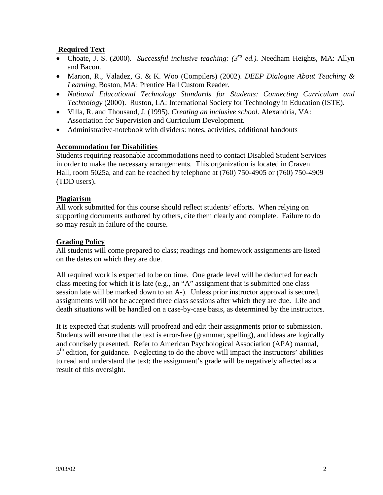# **Required Text**

- Choate, J. S. (2000). *Successful inclusive teaching: (3rd ed.).* Needham Heights, MA: Allyn and Bacon.
- Marion, R., Valadez, G. & K. Woo (Compilers) (2002). *DEEP Dialogue About Teaching & Learning*, Boston, MA: Prentice Hall Custom Reader.
- *National Educational Technology Standards for Students: Connecting Curriculum and Technology* (2000). Ruston, LA: International Society for Technology in Education (ISTE).
- Villa, R. and Thousand, J. (1995). *Creating an inclusive school*. Alexandria, VA: Association for Supervision and Curriculum Development.
- Administrative-notebook with dividers: notes, activities, additional handouts

## **Accommodation for Disabilities**

Students requiring reasonable accommodations need to contact Disabled Student Services in order to make the necessary arrangements. This organization is located in Craven Hall, room 5025a, and can be reached by telephone at (760) 750-4905 or (760) 750-4909 (TDD users).

## **Plagiarism**

All work submitted for this course should reflect students' efforts. When relying on supporting documents authored by others, cite them clearly and complete. Failure to do so may result in failure of the course.

## **Grading Policy**

All students will come prepared to class; readings and homework assignments are listed on the dates on which they are due.

All required work is expected to be on time. One grade level will be deducted for each class meeting for which it is late (e.g., an "A" assignment that is submitted one class session late will be marked down to an A-). Unless prior instructor approval is secured, assignments will not be accepted three class sessions after which they are due. Life and death situations will be handled on a case-by-case basis, as determined by the instructors.

It is expected that students will proofread and edit their assignments prior to submission. Students will ensure that the text is error-free (grammar, spelling), and ideas are logically and concisely presented. Refer to American Psychological Association (APA) manual,  $5<sup>th</sup>$  edition, for guidance. Neglecting to do the above will impact the instructors' abilities to read and understand the text; the assignment's grade will be negatively affected as a result of this oversight.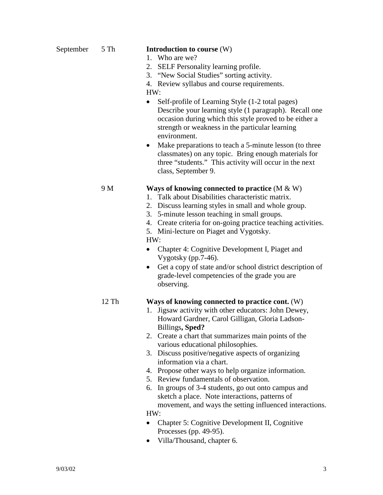### September 5 Th **Introduction to course** (W)

- 1. Who are we?
- 2. SELF Personality learning profile.
- 3. "New Social Studies" sorting activity.
- 4. Review syllabus and course requirements.
- HW:
- Self-profile of Learning Style (1-2 total pages) Describe your learning style (1 paragraph). Recall one occasion during which this style proved to be either a strength or weakness in the particular learning environment.
- Make preparations to teach a 5-minute lesson (to three classmates) on any topic. Bring enough materials for three "students." This activity will occur in the next class, September 9.

## 9 M **Ways of knowing connected to practice** (M & W)

- 1. Talk about Disabilities characteristic matrix.
- 2. Discuss learning styles in small and whole group.
- 3. 5-minute lesson teaching in small groups.
- 4. Create criteria for on-going practice teaching activities.
- 5. Mini-lecture on Piaget and Vygotsky.

### HW:

- Chapter 4: Cognitive Development I, Piaget and Vygotsky (pp.7-46).
- Get a copy of state and/or school district description of grade-level competencies of the grade you are observing.

# 12 Th **Ways of knowing connected to practice cont.** (W)

- 1. Jigsaw activity with other educators: John Dewey, Howard Gardner, Carol Gilligan, Gloria Ladson-Billings**, Sped?**
- 2. Create a chart that summarizes main points of the various educational philosophies.
- 3. Discuss positive/negative aspects of organizing information via a chart.
- 4. Propose other ways to help organize information.
- 5. Review fundamentals of observation.
- 6. In groups of 3-4 students, go out onto campus and sketch a place. Note interactions, patterns of movement, and ways the setting influenced interactions.

HW:

- Chapter 5: Cognitive Development II, Cognitive Processes (pp. 49-95).
- Villa/Thousand, chapter 6.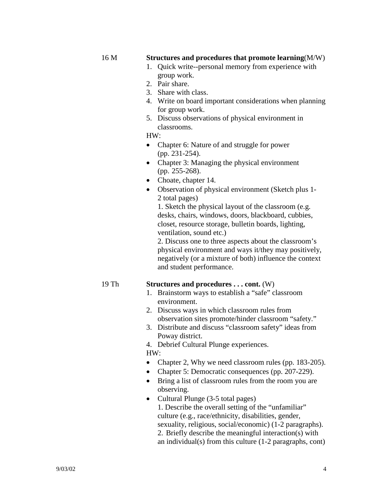#### 16 M **Structures and procedures that promote learning**(M/W)

- 1. Quick write--personal memory from experience with group work.
- 2. Pair share.
- 3. Share with class.
- 4. Write on board important considerations when planning for group work.
- 5. Discuss observations of physical environment in classrooms.

HW:

- Chapter 6: Nature of and struggle for power (pp. 231-254).
- Chapter 3: Managing the physical environment (pp. 255-268).
- Choate, chapter 14.
- Observation of physical environment (Sketch plus 1- 2 total pages)

1. Sketch the physical layout of the classroom (e.g. desks, chairs, windows, doors, blackboard, cubbies, closet, resource storage, bulletin boards, lighting, ventilation, sound etc.)

2. Discuss one to three aspects about the classroom's physical environment and ways it/they may positively, negatively (or a mixture of both) influence the context and student performance.

#### 19 Th **Structures and procedures . . . cont.** (W)

- 1. Brainstorm ways to establish a "safe" classroom environment.
- 2. Discuss ways in which classroom rules from observation sites promote/hinder classroom "safety."
- 3. Distribute and discuss "classroom safety" ideas from Poway district.
- 4. Debrief Cultural Plunge experiences.

HW:

- Chapter 2, Why we need classroom rules (pp. 183-205).
- Chapter 5: Democratic consequences (pp. 207-229).
- Bring a list of classroom rules from the room you are observing.
- Cultural Plunge (3-5 total pages) 1. Describe the overall setting of the "unfamiliar" culture (e.g., race/ethnicity, disabilities, gender, sexuality, religious, social/economic) (1-2 paragraphs). 2. Briefly describe the meaningful interaction(s) with an individual(s) from this culture (1-2 paragraphs, cont)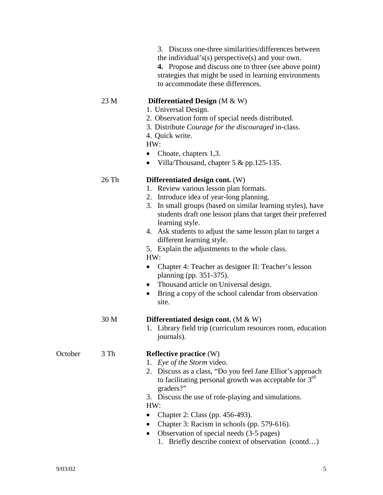|         |       | 3. Discuss one-three similarities/differences between<br>the individual's(s) perspective(s) and your own.<br><b>4.</b> Propose and discuss one to three (see above point)<br>strategies that might be used in learning environments<br>to accommodate these differences.                                                                                                                                                                                                                                                                                                                                                                              |
|---------|-------|-------------------------------------------------------------------------------------------------------------------------------------------------------------------------------------------------------------------------------------------------------------------------------------------------------------------------------------------------------------------------------------------------------------------------------------------------------------------------------------------------------------------------------------------------------------------------------------------------------------------------------------------------------|
|         | 23 M  | Differentiated Design $(M & W)$<br>1. Universal Design.<br>2. Observation form of special needs distributed.<br>3. Distribute Courage for the discouraged in-class.<br>4. Quick write.<br>HW:<br>Choate, chapters 1,3.<br>٠<br>Villa/Thousand, chapter 5 & pp.125-135.<br>$\bullet$                                                                                                                                                                                                                                                                                                                                                                   |
|         | 26 Th | Differentiated design cont. (W)<br>1. Review various lesson plan formats.<br>2. Introduce idea of year-long planning.<br>3. In small groups (based on similar learning styles), have<br>students draft one lesson plans that target their preferred<br>learning style.<br>4. Ask students to adjust the same lesson plan to target a<br>different learning style.<br>5. Explain the adjustments to the whole class.<br>HW:<br>Chapter 4: Teacher as designer II: Teacher's lesson<br>٠<br>planning (pp. 351-375).<br>Thousand article on Universal design.<br>$\bullet$<br>Bring a copy of the school calendar from observation<br>$\bullet$<br>site. |
|         | 30 M  | Differentiated design cont. $(M & W)$<br>1. Library field trip (curriculum resources room, education<br>journals).                                                                                                                                                                                                                                                                                                                                                                                                                                                                                                                                    |
| October | 3 Th  | <b>Reflective practice (W)</b><br>1. Eye of the Storm video.<br>2. Discuss as a class, "Do you feel Jane Elliot's approach<br>to facilitating personal growth was acceptable for 3 <sup>rd</sup><br>graders?"<br>3. Discuss the use of role-playing and simulations.<br>HW:<br>Chapter 2: Class (pp. 456-493).<br>$\bullet$<br>Chapter 3: Racism in schools (pp. 579-616).<br>Observation of special needs (3-5 pages)<br>$\bullet$<br>1. Briefly describe context of observation (contd)                                                                                                                                                             |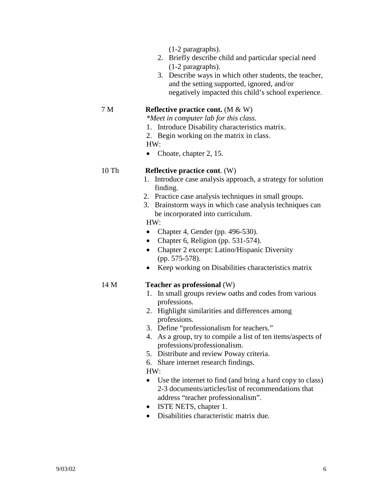(1-2 paragraphs).

- 2. Briefly describe child and particular special need (1-2 paragraphs).
- 3. Describe ways in which other students, the teacher, and the setting supported, ignored, and/or negatively impacted this child's school experience.

### 7 M **Reflective practice cont.** (M & W)

*\*Meet in computer lab for this class.*

- 1. Introduce Disability characteristics matrix.
- 2. Begin working on the matrix in class.

#### HW:

• Choate, chapter 2, 15.

- 10 Th **Reflective practice cont**. (W)
	- 1. Introduce case analysis approach, a strategy for solution finding.
	- 2. Practice case analysis techniques in small groups.
	- 3. Brainstorm ways in which case analysis techniques can be incorporated into curriculum.

### HW:

- Chapter 4, Gender (pp. 496-530).
- Chapter 6, Religion (pp. 531-574).
- Chapter 2 excerpt: Latino/Hispanic Diversity (pp. 575-578).
- Keep working on Disabilities characteristics matrix

### 14 M **Teacher as professional** (W)

- 1. In small groups review oaths and codes from various professions.
- 2. Highlight similarities and differences among professions.
- 3. Define "professionalism for teachers."
- 4. As a group, try to compile a list of ten items/aspects of professions/professionalism.
- 5. Distribute and review Poway criteria.
- 6. Share internet research findings.

### HW:

- Use the internet to find (and bring a hard copy to class) 2-3 documents/articles/list of recommendations that address "teacher professionalism".
- ISTE NETS, chapter 1.
- Disabilities characteristic matrix due.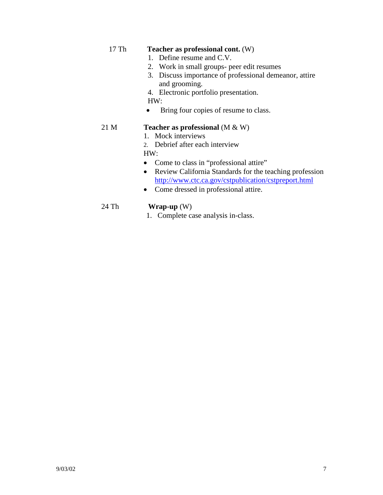# 17 Th **Teacher as professional cont.** (W)

- 1. Define resume and C.V.
- 2. Work in small groups- peer edit resumes
- 3. Discuss importance of professional demeanor, attire and grooming.
- 4. Electronic portfolio presentation.

HW:

• Bring four copies of resume to class.

### 21 M **Teacher as professional** (M & W)

- 1. Mock interviews
- 2. Debrief after each interview

HW:

- Come to class in "professional attire"
- Review California Standards for the teaching profession <http://www.ctc.ca.gov/cstpublication/cstpreport.html>
- Come dressed in professional attire.

# 24 Th **Wrap-up** (W)

1. Complete case analysis in-class.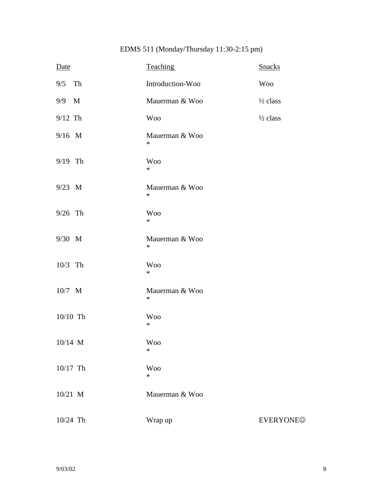# EDMS 511 (Monday/Thursday 11:30-2:15 pm)

| Date      |    | <b>Teaching</b>          | <b>Snacks</b>       |
|-----------|----|--------------------------|---------------------|
| 9/5       | Th | Introduction-Woo         | <b>Woo</b>          |
| 9/9 M     |    | Mauerman & Woo           | $\frac{1}{2}$ class |
| $9/12$ Th |    | <b>Woo</b>               | $\frac{1}{2}$ class |
| 9/16 M    |    | Mauerman & Woo<br>$\ast$ |                     |
| 9/19 Th   |    | <b>Woo</b><br>$\ast$     |                     |
| 9/23 M    |    | Mauerman & Woo<br>$\ast$ |                     |
| $9/26$ Th |    | <b>Woo</b><br>$\ast$     |                     |
| 9/30 M    |    | Mauerman & Woo<br>$\ast$ |                     |
| 10/3 Th   |    | <b>Woo</b><br>$\ast$     |                     |
| 10/7 M    |    | Mauerman & Woo<br>$\ast$ |                     |
| 10/10 Th  |    | <b>Woo</b><br>$\ast$     |                     |
| 10/14 M   |    | <b>Woo</b><br>$\ast$     |                     |
| 10/17 Th  |    | <b>Woo</b><br>$\ast$     |                     |
| 10/21 M   |    | Mauerman & Woo           |                     |
| 10/24 Th  |    | Wrap up                  | <b>EVERYONE©</b>    |